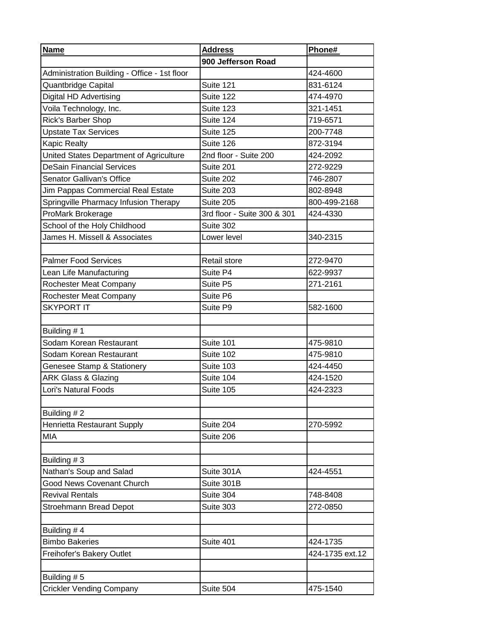| <b>Name</b>                                  | <b>Address</b>              | Phone#          |
|----------------------------------------------|-----------------------------|-----------------|
|                                              | 900 Jefferson Road          |                 |
| Administration Building - Office - 1st floor |                             | 424-4600        |
| Quantbridge Capital                          | Suite 121                   | 831-6124        |
| Digital HD Advertising                       | Suite 122                   | 474-4970        |
| Voila Technology, Inc.                       | Suite 123                   | 321-1451        |
| Rick's Barber Shop                           | Suite 124                   | 719-6571        |
| <b>Upstate Tax Services</b>                  | Suite 125                   | 200-7748        |
| <b>Kapic Realty</b>                          | Suite 126                   | 872-3194        |
| United States Department of Agriculture      | 2nd floor - Suite 200       | 424-2092        |
| <b>DeSain Financial Services</b>             | Suite 201                   | 272-9229        |
| <b>Senator Gallivan's Office</b>             | Suite 202                   | 746-2807        |
| Jim Pappas Commercial Real Estate            | Suite 203                   | 802-8948        |
| Springville Pharmacy Infusion Therapy        | Suite 205                   | 800-499-2168    |
| ProMark Brokerage                            | 3rd floor - Suite 300 & 301 | 424-4330        |
| School of the Holy Childhood                 | Suite 302                   |                 |
| James H. Missell & Associates                | Lower level                 | 340-2315        |
|                                              |                             |                 |
| <b>Palmer Food Services</b>                  | Retail store                | 272-9470        |
| Lean Life Manufacturing                      | Suite P4                    | 622-9937        |
| Rochester Meat Company                       | Suite P5                    | 271-2161        |
| Rochester Meat Company                       | Suite P6                    |                 |
| <b>SKYPORT IT</b>                            | Suite P9                    | 582-1600        |
|                                              |                             |                 |
| Building #1                                  |                             |                 |
| Sodam Korean Restaurant                      | Suite 101                   | 475-9810        |
| Sodam Korean Restaurant                      | Suite 102                   | 475-9810        |
| Genesee Stamp & Stationery                   | Suite 103                   | 424-4450        |
| <b>ARK Glass &amp; Glazing</b>               | Suite 104                   | 424-1520        |
| Lori's Natural Foods                         | Suite 105                   | 424-2323        |
|                                              |                             |                 |
| Building #2                                  |                             |                 |
| Henrietta Restaurant Supply                  | Suite 204                   | 270-5992        |
| MIA                                          | Suite 206                   |                 |
|                                              |                             |                 |
| Building #3                                  |                             |                 |
| Nathan's Soup and Salad                      | Suite 301A                  | 424-4551        |
| <b>Good News Covenant Church</b>             | Suite 301B                  |                 |
| <b>Revival Rentals</b>                       | Suite 304                   | 748-8408        |
| Stroehmann Bread Depot                       | Suite 303                   | 272-0850        |
|                                              |                             |                 |
| Building #4                                  |                             |                 |
| <b>Bimbo Bakeries</b>                        | Suite 401                   | 424-1735        |
| Freihofer's Bakery Outlet                    |                             | 424-1735 ext.12 |
|                                              |                             |                 |
| Building #5                                  |                             |                 |
| <b>Crickler Vending Company</b>              | Suite 504                   | 475-1540        |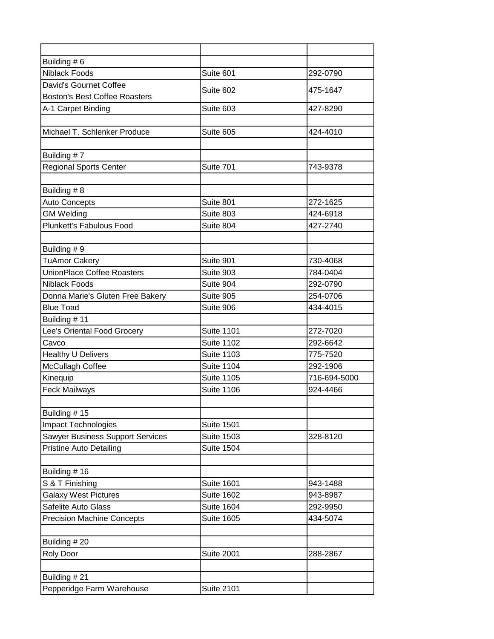| Building #6                             |                   |              |
|-----------------------------------------|-------------------|--------------|
| <b>Niblack Foods</b>                    | Suite 601         | 292-0790     |
| David's Gournet Coffee                  | Suite 602         | 475-1647     |
| <b>Boston's Best Coffee Roasters</b>    |                   |              |
| A-1 Carpet Binding                      | Suite 603         | 427-8290     |
|                                         |                   |              |
| Michael T. Schlenker Produce            | Suite 605         | 424-4010     |
|                                         |                   |              |
| Building #7                             |                   |              |
| <b>Regional Sports Center</b>           | Suite 701         | 743-9378     |
|                                         |                   |              |
| Building #8                             |                   |              |
| <b>Auto Concepts</b>                    | Suite 801         | 272-1625     |
| <b>GM Welding</b>                       | Suite 803         | 424-6918     |
| <b>Plunkett's Fabulous Food</b>         | Suite 804         | 427-2740     |
|                                         |                   |              |
| Building #9                             |                   |              |
| <b>TuAmor Cakery</b>                    | Suite 901         | 730-4068     |
| <b>UnionPlace Coffee Roasters</b>       | Suite 903         | 784-0404     |
| <b>Niblack Foods</b>                    | Suite 904         | 292-0790     |
| Donna Marie's Gluten Free Bakery        | Suite 905         | 254-0706     |
| <b>Blue Toad</b>                        | Suite 906         | 434-4015     |
| Building #11                            |                   |              |
| Lee's Oriental Food Grocery             | <b>Suite 1101</b> | 272-7020     |
| Cavco                                   | <b>Suite 1102</b> | 292-6642     |
| <b>Healthy U Delivers</b>               | <b>Suite 1103</b> | 775-7520     |
| McCullagh Coffee                        | <b>Suite 1104</b> | 292-1906     |
| Kinequip                                | <b>Suite 1105</b> | 716-694-5000 |
| <b>Feck Mailways</b>                    | <b>Suite 1106</b> | 924-4466     |
|                                         |                   |              |
| Building #15                            |                   |              |
| <b>Impact Technologies</b>              | <b>Suite 1501</b> |              |
| <b>Sawyer Business Support Services</b> | <b>Suite 1503</b> | 328-8120     |
| <b>Pristine Auto Detailing</b>          | <b>Suite 1504</b> |              |
| Building #16                            |                   |              |
| S & T Finishing                         | <b>Suite 1601</b> | 943-1488     |
| <b>Galaxy West Pictures</b>             | <b>Suite 1602</b> | 943-8987     |
| Safelite Auto Glass                     | <b>Suite 1604</b> | 292-9950     |
|                                         | <b>Suite 1605</b> | 434-5074     |
| <b>Precision Machine Concepts</b>       |                   |              |
|                                         |                   |              |
| Building #20                            |                   |              |
| Roly Door                               | <b>Suite 2001</b> | 288-2867     |
|                                         |                   |              |
| Building #21                            |                   |              |
| Pepperidge Farm Warehouse               | <b>Suite 2101</b> |              |